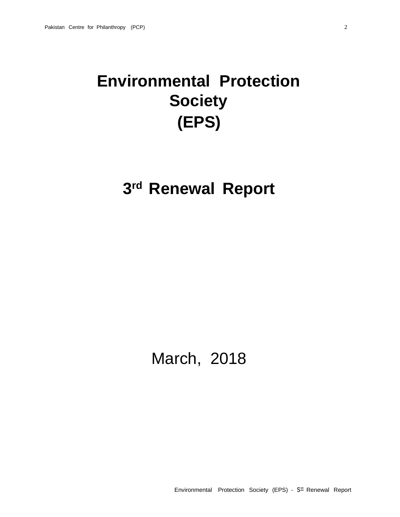# **Environmental Protection Society (EPS)**

## **3 rd Renewal Report**

## March, 2018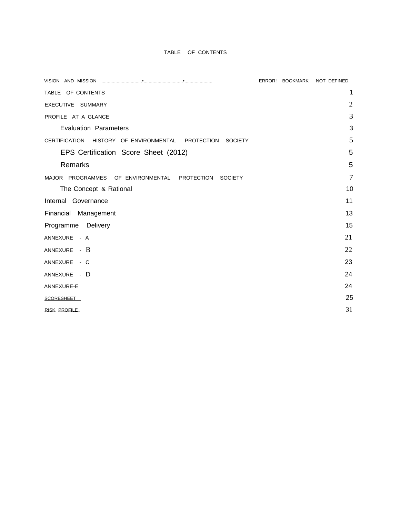## TABLE OF CONTENTS

|                                                                               | ERROR! BOOKMARK | NOT DEFINED.   |
|-------------------------------------------------------------------------------|-----------------|----------------|
| TABLE OF CONTENTS                                                             |                 | 1              |
| EXECUTIVE SUMMARY                                                             |                 | $\overline{2}$ |
| PROFILE AT A GLANCE                                                           |                 | 3              |
| <b>Evaluation Parameters</b>                                                  |                 | 3              |
| <b>CERTIFICATION</b><br>HISTORY OF ENVIRONMENTAL PROTECTION<br><b>SOCIETY</b> |                 | 5              |
| EPS Certification Score Sheet (2012)                                          |                 | 5              |
| Remarks                                                                       |                 | 5              |
| MAJOR PROGRAMMES OF ENVIRONMENTAL PROTECTION<br><b>SOCIETY</b>                |                 | $\overline{7}$ |
| The Concept & Rational                                                        |                 | 10             |
| Internal Governance                                                           |                 | 11             |
| Financial Management                                                          |                 | 13             |
| Programme Delivery                                                            |                 | 15             |
| ANNEXURE - A                                                                  |                 | 21             |
| ANNEXURE - B                                                                  |                 | 22             |
| ANNEXURE - C                                                                  |                 | 23             |
| ANNEXURE - D                                                                  |                 | 24             |
| ANNEXURE-E                                                                    |                 | 24             |
| <b>SCORESHEET</b>                                                             |                 | 25             |
| <b>RISK PROFILE</b>                                                           |                 | 31             |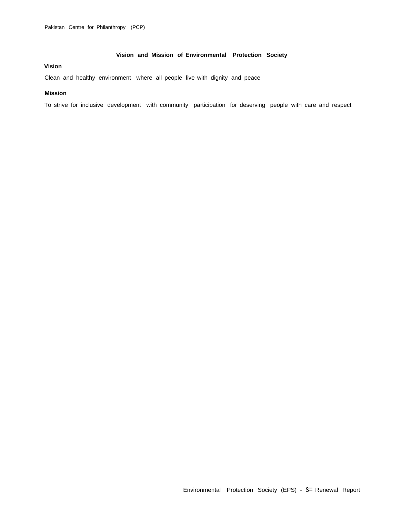## **Vision and Mission of Environmental Protection Society**

## **Vision**

Clean and healthy environment where all people live with dignity and peace

### **Mission**

To strive for inclusive development with community participation for deserving people with care and respect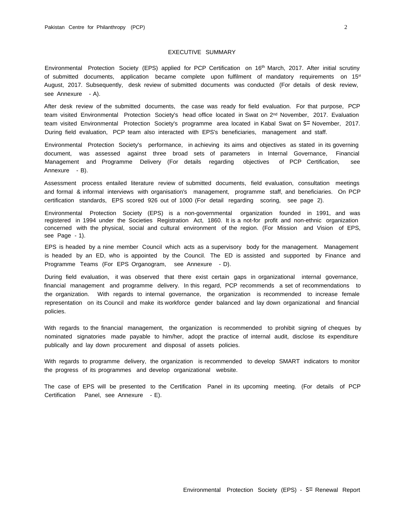#### EXECUTIVE SUMMARY

Environmental Protection Society (EPS) applied for PCP Certification on 16<sup>th</sup> March, 2017. After initial scrutiny of submitted documents, application became complete upon fulfilment of mandatory requirements on 15<sup>st</sup> August, 2017. Subsequently, desk review of submitted documents was conducted (For details of desk review, see Annexure - A).

After desk review of the submitted documents, the case was ready for field evaluation. For that purpose, PCP team visited Environmental Protection Society's head office located in Swat on 2nd November, 2017. Evaluation team visited Environmental Protection Society's programme area located in Kabal Swat on S= November, 2017. During field evaluation, PCP team also interacted with EPS's beneficiaries, management and staff.

Environmental Protection Society's performance, in achieving its aims and objectives as stated in its governing document, was assessed against three broad sets of parameters in Internal Governance, Financial Management and Programme Delivery (For details regarding objectives of PCP Certification, see Annexure - B).

Assessment process entailed literature review of submitted documents, field evaluation, consultation meetings and formal & informal interviews with organisation's management, programme staff, and beneficiaries. On PCP certification standards, EPS scored 926 out of 1000 (For detail regarding scoring, see page 2).

Environmental Protection Society (EPS) is a non-governmental organization founded in 1991, and was registered in 1994 under the Societies Registration Act, 1860. It is a not-for profit and non-ethnic organization concerned with the physical, social and cultural environment of the region. (For Mission and Vision of EPS, see Page - 1).

EPS is headed by a nine member Council which acts as a supervisory body for the management. Management is headed by an ED, who is appointed by the Council. The ED is assisted and supported by Finance and Programme Teams (For EPS Organogram, see Annexure - D).

During field evaluation, it was observed that there exist certain gaps in organizational internal governance, financial management and programme delivery. In this regard, PCP recommends a set of recommendations to the organization. With regards to internal governance, the organization is recommended to increase female representation on its Council and make its workforce gender balanced and lay down organizational and financial policies.

With regards to the financial management, the organization is recommended to prohibit signing of cheques by nominated signatories made payable to him/her, adopt the practice of internal audit, disclose its expenditure publically and lay down procurement and disposal of assets policies.

With regards to programme delivery, the organization is recommended to develop SMART indicators to monitor the progress of its programmes and develop organizational website.

The case of EPS will be presented to the Certification Panel in its upcoming meeting. (For details of PCP Certification Panel, see Annexure - E).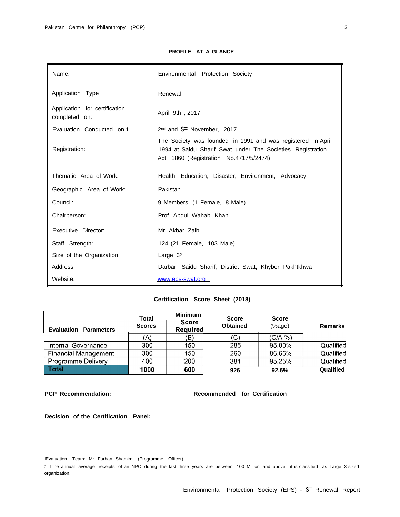## **PROFILE AT A GLANCE**

| Name:                                          | Environmental Protection Society                                                                                                                                     |
|------------------------------------------------|----------------------------------------------------------------------------------------------------------------------------------------------------------------------|
| Application Type                               | Renewal                                                                                                                                                              |
| Application for certification<br>completed on: | April 9th, 2017                                                                                                                                                      |
| Evaluation Conducted on 1:                     | $2nd$ and $S=$ November, 2017                                                                                                                                        |
| Registration:                                  | The Society was founded in 1991 and was registered in April<br>1994 at Saidu Sharif Swat under The Societies Registration<br>Act, 1860 (Registration No.4717/5/2474) |
| Thematic Area of Work:                         | Health, Education, Disaster, Environment, Advocacy.                                                                                                                  |
| Geographic Area of Work:                       | Pakistan                                                                                                                                                             |
| Council:                                       | 9 Members (1 Female, 8 Male)                                                                                                                                         |
| Chairperson:                                   | Prof. Abdul Wahab Khan                                                                                                                                               |
| Executive Director:                            | Mr. Akbar Zaib                                                                                                                                                       |
| Staff Strength:                                | 124 (21 Female, 103 Male)                                                                                                                                            |
| Size of the Organization:                      | Large $32$                                                                                                                                                           |
| Address:                                       | Darbar, Saidu Sharif, District Swat, Khyber Pakhtkhwa                                                                                                                |
| Website:                                       | www.eps-swat.org                                                                                                                                                     |

## **Certification Score Sheet (2018)**

| <b>Evaluation Parameters</b> | <b>Total</b><br><b>Scores</b> | <b>Minimum</b><br><b>Score</b><br>Required | <b>Score</b><br><b>Obtained</b> | <b>Score</b><br>(% | <b>Remarks</b> |
|------------------------------|-------------------------------|--------------------------------------------|---------------------------------|--------------------|----------------|
|                              | (A)                           | (B)                                        | (C)                             | $(C/A \%)$         |                |
| Internal Governance          | 300                           | 150                                        | 285                             | 95.00%             | Qualified      |
| <b>Financial Management</b>  | 300                           | 150                                        | 260                             | 86.66%             | Qualified      |
| Programme Delivery           | 400                           | 200                                        | 381                             | 95.25%             | Qualified      |
| <b>Total</b>                 | 1000                          | 600                                        | 926                             | 92.6%              | Qualified      |

**PCP Recommendation: Recommended for Certification**

**Decision of the Certification Panel:**

lEvaluation Team: Mr. Farhan Shamim (Programme Officer).

<sup>2</sup> If the annual average receipts of an NPO during the last three years are between 100 Million and above, it is classified as Large 3 sized organization.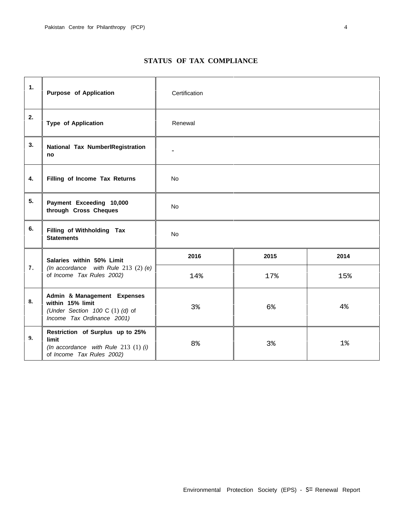| 1. | <b>Purpose of Application</b>                                                                                        | Certification  |      |       |
|----|----------------------------------------------------------------------------------------------------------------------|----------------|------|-------|
| 2. | <b>Type of Application</b>                                                                                           | Renewal        |      |       |
| 3. | National Tax NumberlRegistration<br>no                                                                               |                |      |       |
| 4. | Filling of Income Tax Returns                                                                                        | No             |      |       |
| 5. | Payment Exceeding 10,000<br>through Cross Cheques                                                                    | No             |      |       |
| 6. | Filling of Withholding Tax<br><b>Statements</b>                                                                      | No             |      |       |
|    | Salaries within 50% Limit                                                                                            | 2016           | 2015 | 2014  |
| 7. | (In accordance with Rule 213 $(2)$ (e)<br>of Income Tax Rules 2002)                                                  | 14%            | 17%  | 15%   |
| 8. | Admin & Management Expenses<br>within 15% limit<br>(Under Section 100 C $(1)$ $(d)$ of<br>Income Tax Ordinance 2001) | 3%             | 6%   | 4%    |
| 9. | Restriction of Surplus up to 25%<br>limit<br>(In accordance with Rule 213 $(1)$ (i)<br>of Income Tax Rules 2002)     | 8 <sup>°</sup> | 3%   | $1\%$ |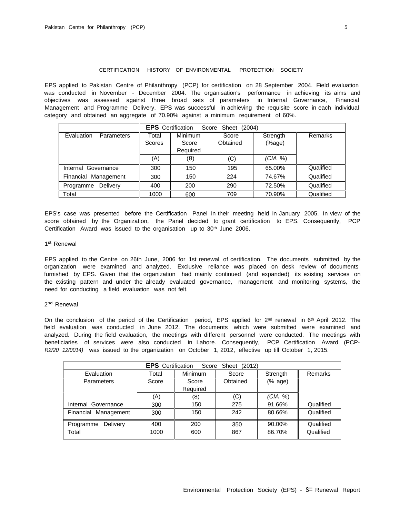#### CERTIFICATION HISTORY OF ENVIRONMENTAL PROTECTION SOCIETY

EPS applied to Pakistan Centre of Philanthropy (PCP) for certification on 28 September 2004. Field evaluation was conducted in November - December 2004. The organisation's performance in achieving its aims and objectives was assessed against three broad sets of parameters in Internal Governance, Financial Management and Programme Delivery. EPS was successful in achieving the requisite score in each individual category and obtained an aggregate of 70.90% against a minimum requirement of 60%.

| <b>EPS</b> Certification<br>Score<br>Sheet (2004) |               |                |          |            |           |
|---------------------------------------------------|---------------|----------------|----------|------------|-----------|
| Evaluation<br><b>Parameters</b>                   | Total         | <b>Minimum</b> | Score    | Strength   | Remarks   |
|                                                   | <b>Scores</b> | Score          | Obtained | (%         |           |
|                                                   |               | Required       |          |            |           |
|                                                   | (A)           | (8)            | (C)      | $(CIA \%)$ |           |
| Internal Governance                               | 300           | 150            | 195      | 65.00%     | Qualified |
| Financial Management                              | 300           | 150            | 224      | 74.67%     | Qualified |
| Programme Delivery                                | 400           | 200            | 290      | 72.50%     | Qualified |
| Total                                             | 1000          | 600            | 709      | 70.90%     | Qualified |

EPS's case was presented before the Certification Panel in their meeting held in January 2005. In view of the score obtained by the Organization, the Panel decided to grant certification to EPS. Consequently, PCP Certification Award was issued to the organisation up to 30<sup>th</sup> June 2006.

#### 1st Renewal

EPS applied to the Centre on 26th June, 2006 for 1st renewal of certification. The documents submitted by the organization were examined and analyzed. Exclusive reliance was placed on desk review of documents furnished by EPS. Given that the organization had mainly continued (and expanded) its existing services on the existing pattern and under the already evaluated governance, management and monitoring systems, the need for conducting a field evaluation was not felt.

#### 2<sup>nd</sup> Renewal

On the conclusion of the period of the Certification period, EPS applied for 2<sup>nd</sup> renewal in 6<sup>th</sup> April 2012. The field evaluation was conducted in June 2012. The documents which were submitted were examined and analyzed. During the field evaluation, the meetings with different personnel were conducted. The meetings with beneficiaries of services were also conducted in Lahore. Consequently, PCP Certification Award (PCP-*R2/20 12/0014)* was issued to the organization on October 1, 2012, effective up till October 1, 2015.

| <b>EPS</b> Certification<br>Score<br>Sheet (2012) |       |                |          |                                                         |                |
|---------------------------------------------------|-------|----------------|----------|---------------------------------------------------------|----------------|
| Evaluation                                        | Total | <b>Minimum</b> | Score    | Strength                                                | <b>Remarks</b> |
| <b>Parameters</b>                                 | Score | Score          | Obtained | $(% \mathcal{L}^{\prime }\mathcal{L}^{\prime }$ (% age) |                |
|                                                   |       | Required       |          |                                                         |                |
|                                                   | (A)   | (8)            | (C)      | (CIA %)                                                 |                |
| Internal Governance                               | 300   | 150            | 275      | 91.66%                                                  | Qualified      |
| Financial Management                              | 300   | 150            | 242      | 80.66%                                                  | Qualified      |
| Delivery<br>Programme                             | 400   | 200            | 350      | 90.00%                                                  | Qualified      |
| Total                                             | 1000  | 600            | 867      | 86.70%                                                  | Qualified      |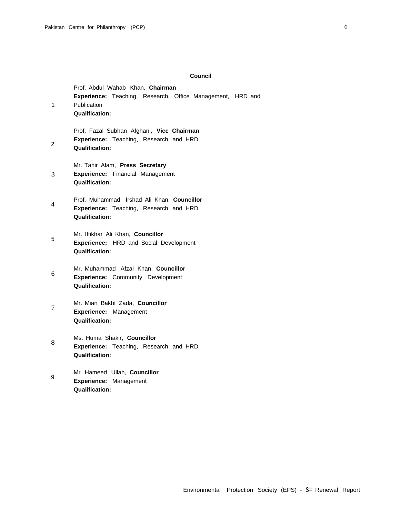## **Council**

| 1 | Prof. Abdul Wahab Khan, Chairman<br>Experience: Teaching, Research, Office Management, HRD and<br>Publication<br><b>Qualification:</b> |
|---|----------------------------------------------------------------------------------------------------------------------------------------|
| 2 | Prof. Fazal Subhan Afghani, Vice Chairman<br>Experience: Teaching, Research and HRD<br><b>Qualification:</b>                           |
| 3 | Mr. Tahir Alam, Press Secretary<br>Experience: Financial Management<br><b>Qualification:</b>                                           |
| 4 | Prof. Muhammad Irshad Ali Khan, Councillor<br>Experience: Teaching, Research and HRD<br><b>Qualification:</b>                          |
| 5 | Mr. Iftikhar Ali Khan, Councillor<br>Experience: HRD and Social Development<br>Qualification:                                          |
| 6 | Mr. Muhammad Afzal Khan, Councillor<br><b>Experience:</b> Community Development<br><b>Qualification:</b>                               |
| 7 | Mr. Mian Bakht Zada, Councillor<br>Experience: Management<br><b>Qualification:</b>                                                     |
| 8 | Ms. Huma Shakir, Councillor<br>Experience: Teaching, Research and HRD<br><b>Qualification:</b>                                         |
| 9 | Mr. Hameed Ullah, Councillor<br><b>Experience:</b><br>Management<br><b>Qualification:</b>                                              |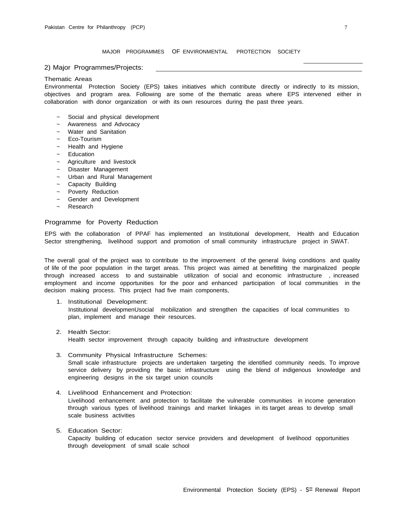MAJOR PROGRAMMES OF ENVIRONMENTAL PROTECTION SOCIETY

2) Major Programmes/Projects:

#### Thematic Areas

Environmental Protection Society (EPS) takes initiatives which contribute directly or indirectly to its mission, objectives and program area. Following are some of the thematic areas where EPS intervened either in collaboration with donor organization or with its own resources during the past three years.

- Social and physical development
- Awareness and Advocacy
- ~ Water and Sanitation
- Eco-Tourism
- ~ Health and Hygiene
- **Education**
- Agriculture and livestock
- Disaster Management
- ~ Urban and Rural Management
- ~ Capacity Building
- ~ Poverty Reduction
- ~ Gender and Development
- **Research**

## Programme for Poverty Reduction

EPS with the collaboration of PPAF has implemented an Institutional development, Health and Education Sector strengthening, livelihood support and promotion of small community infrastructure project in SWAT.

The overall goal of the project was to contribute to the improvement of the general living conditions and quality of life of the poor population in the target areas. This project was aimed at benefitting the marginalized people through increased access to and sustainable utilization of social and economic infrastructure , increased employment and income opportunities for the poor and enhanced participation of local communities in the decision making process. This project had five main components,

- 1. Institutional Development: Institutional developmenUsocial mobilization and strengthen the capacities of local communities to plan, implement and manage their resources.
- 2. Health Sector: Health sector improvement through capacity building and infrastructure development
- 3. Community Physical Infrastructure Schemes: Small scale infrastructure projects are undertaken targeting the identified community needs. To improve service delivery by providing the basic infrastructure using the blend of indigenous knowledge and engineering designs in the six target union councils
- 4. Livelihood Enhancement and Protection: Livelihood enhancement and protection to facilitate the vulnerable communities in income generation through various types of livelihood trainings and market linkages in its target areas to develop small scale business activities
- 5. Education Sector: Capacity building of education sector service providers and development of livelihood opportunities through development of small scale school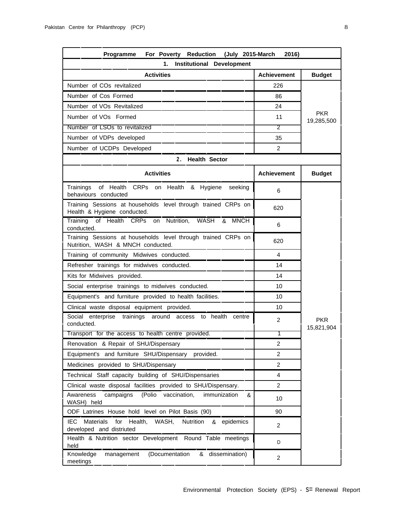Number of COs revitalized Number of Cos Formed Number of VOs Revitalized Number of VOs Formed

Number of LSOs to revitalized 2 Number of VDPs developed

| Programme          |                   | For Poverty Reduction      |  | (July 2015-March<br>2016) |                          |
|--------------------|-------------------|----------------------------|--|---------------------------|--------------------------|
|                    | 1.                | Institutional Development  |  |                           |                          |
|                    | <b>Activities</b> |                            |  | <b>Achievement</b>        | <b>Budget</b>            |
| COs revitalized    |                   |                            |  | 226                       |                          |
| Cos Formed         |                   |                            |  | 86                        |                          |
| 'Os Revitalized    |                   |                            |  | 24                        |                          |
| Os Formed          |                   |                            |  | 11                        | <b>PKR</b><br>19,285,500 |
| SOs to revitalized |                   |                            |  | 2                         |                          |
| 'DPs developed     |                   |                            |  | 35                        |                          |
| JCDPs Developed    |                   |                            |  | 2                         |                          |
|                    |                   | <b>Health Sector</b><br>2. |  |                           |                          |

| Number of UCDPs Developed                                                                                   | 2                  |                          |  |  |
|-------------------------------------------------------------------------------------------------------------|--------------------|--------------------------|--|--|
| 2. Health Sector                                                                                            |                    |                          |  |  |
| <b>Activities</b>                                                                                           | <b>Achievement</b> | <b>Budget</b>            |  |  |
| of Health CRPs on Health & Hygiene<br>seeking<br>Trainings<br>behaviours conducted                          | 6                  |                          |  |  |
| Training Sessions at households level through trained CRPs on<br>Health & Hygiene conducted.                | 620                |                          |  |  |
| of Health CRPs<br>on Nutrition,<br><b>WASH</b><br><b>MNCH</b><br>Training<br>&<br>conducted.                | 6                  |                          |  |  |
| Training Sessions at households level through trained CRPs on<br>Nutrition, WASH & MNCH conducted.          | 620                |                          |  |  |
| Training of community Midwives conducted.                                                                   | 4                  |                          |  |  |
| Refresher trainings for midwives conducted.                                                                 | 14                 |                          |  |  |
| Kits for Midwives provided.                                                                                 | 14                 |                          |  |  |
| Social enterprise trainings to midwives conducted.                                                          | 10                 |                          |  |  |
| Equipment's and furniture provided to health facilities.                                                    | 10                 |                          |  |  |
| Clinical waste disposal equipment provided.                                                                 | 10                 |                          |  |  |
| Social enterprise trainings around access to health centre<br>conducted.                                    | $\overline{2}$     | <b>PKR</b><br>15,821,904 |  |  |
| Transport for the access to health centre provided.                                                         | 1                  |                          |  |  |
| Renovation & Repair of SHU/Dispensary                                                                       | $\overline{2}$     |                          |  |  |
| Equipment's and furniture SHU/Dispensary provided.                                                          | $\overline{2}$     |                          |  |  |
| Medicines provided to SHU/Dispensary                                                                        | $\mathcal{P}$      |                          |  |  |
| Technical Staff capacity building of SHU/Dispensaries                                                       | 4                  |                          |  |  |
| Clinical waste disposal facilities provided to SHU/Dispensary.                                              | $\overline{2}$     |                          |  |  |
| (Polio<br>campaigns<br>vaccination,<br>immunization<br>Awareness<br>&<br>WASH) held                         | 10                 |                          |  |  |
| ODF Latrines House hold level on Pilot Basis (90)                                                           | 90                 |                          |  |  |
| IEC.<br><b>Materials</b><br>for<br>WASH,<br>Health,<br>Nutrition<br>& epidemics<br>developed and distriuted | $\overline{2}$     |                          |  |  |
| Health & Nutrition sector Development Round Table meetings<br>held                                          | D                  |                          |  |  |
| Knowledge<br>management<br>(Documentation<br>& dissemination)<br>meetings                                   | $\overline{c}$     |                          |  |  |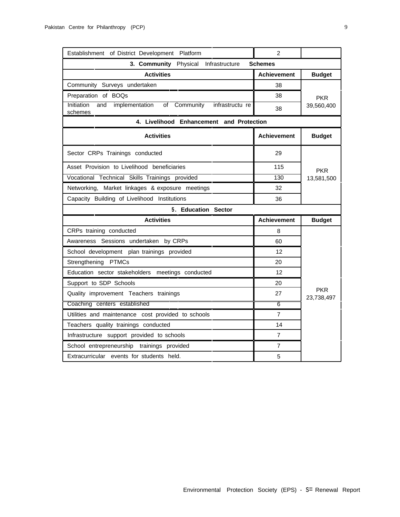| Establishment of District Development Platform                                 | 2                  |               |  |  |  |
|--------------------------------------------------------------------------------|--------------------|---------------|--|--|--|
| 3. Community Physical Infrastructure                                           | <b>Schemes</b>     |               |  |  |  |
| <b>Activities</b>                                                              | <b>Achievement</b> | <b>Budget</b> |  |  |  |
| Community Surveys undertaken                                                   | 38                 |               |  |  |  |
| Preparation of BOQs                                                            | 38                 | <b>PKR</b>    |  |  |  |
| Initiation<br>and<br>implementation of Community<br>infrastructu re<br>schemes | 38                 | 39,560,400    |  |  |  |
| 4. Livelihood Enhancement and Protection                                       |                    |               |  |  |  |
| <b>Activities</b>                                                              | <b>Achievement</b> | <b>Budget</b> |  |  |  |
| Sector CRPs Trainings conducted                                                | 29                 |               |  |  |  |
| Asset Provision to Livelihood beneficiaries                                    | 115                | <b>PKR</b>    |  |  |  |
| Vocational Technical Skills Trainings provided                                 | 130                | 13,581,500    |  |  |  |
| Networking, Market linkages & exposure meetings                                | 32                 |               |  |  |  |
| Capacity Building of Livelihood Institutions                                   | 36                 |               |  |  |  |
| 5. Education Sector                                                            |                    |               |  |  |  |
|                                                                                |                    |               |  |  |  |
| <b>Activities</b>                                                              | <b>Achievement</b> | <b>Budget</b> |  |  |  |
| CRPs training conducted                                                        | 8                  |               |  |  |  |
| Awareness Sessions undertaken by CRPs                                          | 60                 |               |  |  |  |
| School development plan trainings provided                                     | 12                 |               |  |  |  |
| Strengthening PTMCs                                                            | 20                 |               |  |  |  |
| Education sector stakeholders meetings conducted                               | 12                 |               |  |  |  |
| Support to SDP Schools                                                         | 20                 |               |  |  |  |
| Quality improvement Teachers trainings                                         | 27                 | <b>PKR</b>    |  |  |  |
| Coaching centers established                                                   | $\overline{6}$     | 23,738,497    |  |  |  |
| Utilities and maintenance cost provided to schools                             | $\overline{7}$     |               |  |  |  |
| Teachers quality trainings conducted                                           | 14                 |               |  |  |  |
| Infrastructure support provided to schools                                     | $\overline{7}$     |               |  |  |  |
| School entrepreneurship trainings provided                                     | $\overline{7}$     |               |  |  |  |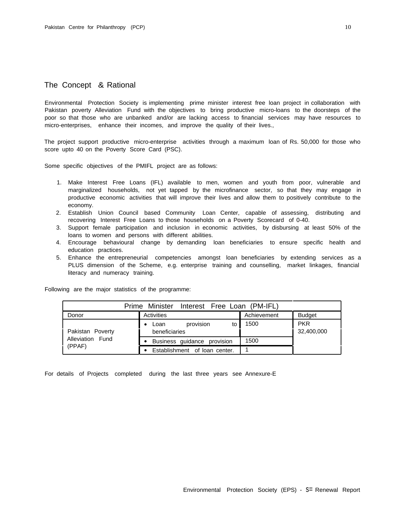## The Concept & Rational

Environmental Protection Society is implementing prime minister interest free loan project in collaboration with Pakistan poverty Alleviation Fund with the objectives to bring productive micro-loans to the doorsteps of the poor so that those who are unbanked and/or are lacking access to financial services may have resources to micro-enterprises, enhance their incomes, and improve the quality of their lives.,

The project support productive micro-enterprise activities through a maximum loan of Rs. 50,000 for those who score upto 40 on the Poverty Score Card (PSC).

Some specific objectives of the PMIFL project are as follows:

- 1. Make Interest Free Loans (IFL) available to men, women and youth from poor, vulnerable and marginalized households, not yet tapped by the microfinance sector, so that they may engage in productive economic activities that will improve their lives and allow them to positively contribute to the economy.
- 2. Establish Union Council based Community Loan Center, capable of assessing, distributing and recovering Interest Free Loans to those households on a Poverty Scorecard of 0-40.
- 3. Support female participation and inclusion in economic activities, by disbursing at least 50% of the loans to women and persons with different abilities.
- 4. Encourage behavioural change by demanding loan beneficiaries to ensure specific health and education practices.
- 5. Enhance the entrepreneurial competencies amongst loan beneficiaries by extending services as a PLUS dimension of the Scheme, e.g. enterprise training and counselling, market linkages, financial literacy and numeracy training.

| Prime Minister Interest Free Loan (PM-IFL) |                               |             |               |  |  |
|--------------------------------------------|-------------------------------|-------------|---------------|--|--|
| Donor                                      | Activities                    | Achievement | <b>Budget</b> |  |  |
|                                            | provision<br>to<br>Loan       | 1500        | <b>PKR</b>    |  |  |
| Pakistan Poverty                           | beneficiaries                 |             | 32,400,000    |  |  |
| Alleviation Fund                           | Business guidance provision   | 1500        |               |  |  |
| (PPAF)                                     | Establishment of loan center. |             |               |  |  |

Following are the major statistics of the programme:

For details of Projects completed during the last three years see Annexure-E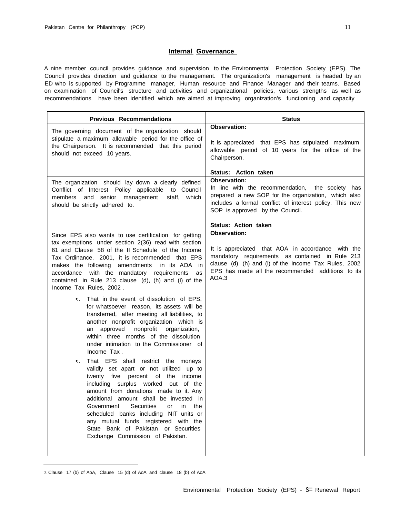#### **Internal Governance**

A nine member council provides guidance and supervision to the Environmental Protection Society (EPS). The Council provides direction and guidance to the management. The organization's management is headed by an ED who is supported by Programme manager, Human resource and Finance Manager and their teams. Based on examination of Council's structure and activities and organizational policies, various strengths as well as recommendations have been identified which are aimed at improving organization's functioning and capacity

| <b>Previous Recommendations</b>                                                                                                                                                                                                                                                                                                                                                                                                                                                                                                                                                                                                                                                                                                                                                                                     | <b>Status</b>                                                                                                                                                                                                                                      |
|---------------------------------------------------------------------------------------------------------------------------------------------------------------------------------------------------------------------------------------------------------------------------------------------------------------------------------------------------------------------------------------------------------------------------------------------------------------------------------------------------------------------------------------------------------------------------------------------------------------------------------------------------------------------------------------------------------------------------------------------------------------------------------------------------------------------|----------------------------------------------------------------------------------------------------------------------------------------------------------------------------------------------------------------------------------------------------|
| The governing document of the organization should<br>stipulate a maximum allowable period for the office of<br>the Chairperson. It is recommended that this period<br>should not exceed 10 years.                                                                                                                                                                                                                                                                                                                                                                                                                                                                                                                                                                                                                   | Observation:<br>It is appreciated that EPS has stipulated maximum<br>allowable period of 10 years for the office of the<br>Chairperson.                                                                                                            |
| The organization should lay down a clearly defined<br>Conflict of Interest Policy applicable to Council<br>which<br>members and senior management<br>staff,<br>should be strictly adhered to.                                                                                                                                                                                                                                                                                                                                                                                                                                                                                                                                                                                                                       | Status: Action taken<br>Observation:<br>In line with the recommendation, the society has<br>prepared a new SOP for the organization, which also<br>includes a formal conflict of interest policy. This new<br>SOP is approved by the Council.      |
|                                                                                                                                                                                                                                                                                                                                                                                                                                                                                                                                                                                                                                                                                                                                                                                                                     | <b>Status: Action taken</b>                                                                                                                                                                                                                        |
| Since EPS also wants to use certification for getting<br>tax exemptions under section 2(36) read with section<br>61 and Clause 58 of the II Schedule of the Income<br>Tax Ordinance, 2001, it is recommended that EPS<br>makes the following amendments<br>in its AOA in<br>with the mandatory requirements<br>accordance<br>as<br>contained in Rule 213 clause (d), (h) and (i) of the<br>Income Tax Rules, 2002.                                                                                                                                                                                                                                                                                                                                                                                                  | <b>Observation:</b><br>It is appreciated that AOA in accordance with the<br>mandatory requirements as contained in Rule 213<br>clause (d), (h) and (i) of the Income Tax Rules, 2002<br>EPS has made all the recommended additions to its<br>AOA.3 |
| That in the event of dissolution of EPS,<br>for whatsoever reason, its assets will be<br>transferred, after meeting all liabilities, to<br>another nonprofit organization which is<br>nonprofit<br>an approved<br>organization,<br>within three months of the dissolution<br>under intimation to the Commissioner of<br>Income Tax.<br>That EPS shall restrict the moneys<br>$\bullet$ .<br>validly set apart or not utilized up to<br>twenty five percent of the income<br>including surplus worked out of the<br>amount from donations made to it. Any<br>additional amount shall be invested in<br><b>Securities</b><br>Government<br>or<br>in the<br>scheduled banks including NIT units or<br>any mutual funds registered with the<br>State Bank of Pakistan or Securities<br>Exchange Commission of Pakistan. |                                                                                                                                                                                                                                                    |

<sup>3</sup> Clause 17 (b) of AoA, Clause 15 (d) of AoA and clause 18 (b) of AoA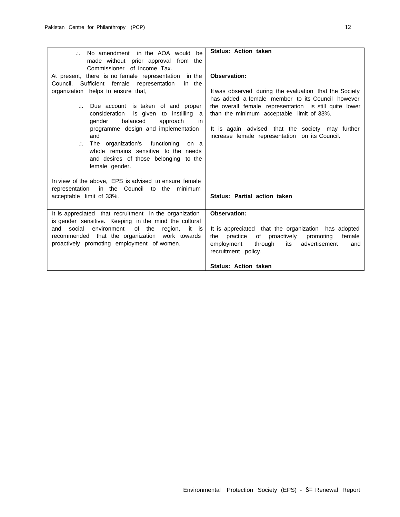| No amendment in the AOA would be                                                                                | <b>Status: Action taken</b>                              |  |
|-----------------------------------------------------------------------------------------------------------------|----------------------------------------------------------|--|
| made without prior approval from the                                                                            |                                                          |  |
| Commissioner of Income Tax.                                                                                     |                                                          |  |
| At present, there is no female representation in the                                                            | <b>Observation:</b>                                      |  |
| Council.<br>Sufficient female representation<br>in the                                                          |                                                          |  |
| organization helps to ensure that,                                                                              | It was observed during the evaluation that the Society   |  |
|                                                                                                                 | has added a female member to its Council however         |  |
| Due account is taken of and proper                                                                              | the overall female representation is still quite lower   |  |
| is given to instilling<br>consideration<br>a a                                                                  | than the minimum acceptable limit of 33%.                |  |
| balanced<br>gender<br>approach<br>in<br>programme design and implementation                                     | It is again advised that the society may further         |  |
| and                                                                                                             | increase female representation on its Council.           |  |
| The organization's functioning<br>on a                                                                          |                                                          |  |
| whole remains sensitive to the needs                                                                            |                                                          |  |
| and desires of those belonging to the                                                                           |                                                          |  |
| female gender.                                                                                                  |                                                          |  |
|                                                                                                                 |                                                          |  |
| In view of the above, EPS is advised to ensure female                                                           |                                                          |  |
| representation<br>in the Council to the<br>minimum                                                              |                                                          |  |
| acceptable limit of 33%.                                                                                        | <b>Status: Partial action taken</b>                      |  |
|                                                                                                                 |                                                          |  |
| It is appreciated that recruitment in the organization<br>is gender sensitive. Keeping in the mind the cultural | <b>Observation:</b>                                      |  |
| environment<br>of the<br>social<br>and<br>region,<br>it is                                                      | It is appreciated that the organization has adopted      |  |
| recommended that the organization work towards                                                                  | practice<br>of proactively<br>female<br>promoting<br>the |  |
| proactively promoting employment of women.                                                                      | employment<br>through<br>its<br>advertisement<br>and     |  |
|                                                                                                                 | recruitment policy.                                      |  |
|                                                                                                                 |                                                          |  |
|                                                                                                                 | <b>Status: Action taken</b>                              |  |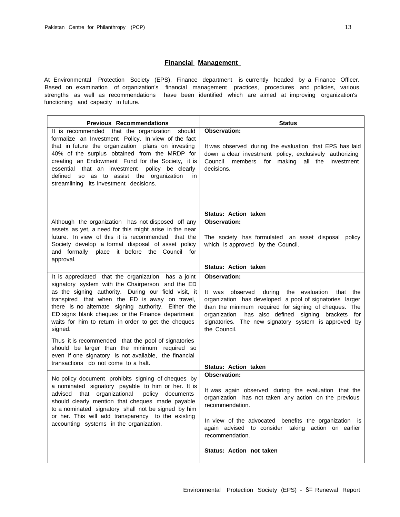## **Financial Management**

At Environmental Protection Society (EPS), Finance department is currently headed by a Finance Officer. Based on examination of organization's financial management practices, procedures and policies, various strengths as well as recommendations have been identified which are aimed at improving organization's functioning and capacity in future.

| <b>Previous Recommendations</b>                                                                                                                                                                                                                                                                                                                                                                                     | <b>Status</b>                                                                                                                                                                                                                                                                                                                |
|---------------------------------------------------------------------------------------------------------------------------------------------------------------------------------------------------------------------------------------------------------------------------------------------------------------------------------------------------------------------------------------------------------------------|------------------------------------------------------------------------------------------------------------------------------------------------------------------------------------------------------------------------------------------------------------------------------------------------------------------------------|
| It is recommended that the organization should<br>formalize an Investment Policy. In view of the fact<br>that in future the organization plans on investing<br>40% of the surplus obtained from the MRDP for<br>creating an Endowment Fund for the Society, it is<br>essential that an investment policy be clearly<br>defined<br>so as to assist the organization<br>in.<br>streamlining its investment decisions. | <b>Observation:</b><br>It was observed during the evaluation that EPS has laid<br>down a clear investment policy, exclusively authorizing<br>Council<br>members<br>for making all the investment<br>decisions.                                                                                                               |
|                                                                                                                                                                                                                                                                                                                                                                                                                     | <b>Status: Action taken</b>                                                                                                                                                                                                                                                                                                  |
| Although the organization has not disposed off any                                                                                                                                                                                                                                                                                                                                                                  | <b>Observation:</b>                                                                                                                                                                                                                                                                                                          |
| assets as yet, a need for this might arise in the near<br>future. In view of this it is recommended that the<br>Society develop a formal disposal of asset policy<br>and formally place it before the Council for<br>approval.                                                                                                                                                                                      | The society has formulated an asset disposal policy<br>which is approved by the Council.                                                                                                                                                                                                                                     |
|                                                                                                                                                                                                                                                                                                                                                                                                                     | <b>Status: Action taken</b>                                                                                                                                                                                                                                                                                                  |
| It is appreciated that the organization has a joint<br>signatory system with the Chairperson and the ED<br>as the signing authority. During our field visit, it<br>transpired that when the ED is away on travel,<br>there is no alternate signing authority. Either the<br>ED signs blank cheques or the Finance department<br>waits for him to return in order to get the cheques<br>signed.                      | Observation:<br>It was observed<br>during<br>the evaluation<br>that the<br>organization has developed a pool of signatories larger<br>than the minimum required for signing of cheques. The<br>has also defined signing brackets for<br>organization<br>signatories. The new signatory system is approved by<br>the Council. |
| Thus it is recommended that the pool of signatories<br>should be larger than the minimum required so<br>even if one signatory is not available, the financial<br>transactions do not come to a halt.                                                                                                                                                                                                                | <b>Status: Action taken</b>                                                                                                                                                                                                                                                                                                  |
| No policy document prohibits signing of cheques by                                                                                                                                                                                                                                                                                                                                                                  | <b>Observation:</b>                                                                                                                                                                                                                                                                                                          |
| a nominated signatory payable to him or her. It is<br>that organizational<br>policy documents<br>advised<br>should clearly mention that cheques made payable<br>to a nominated signatory shall not be signed by him<br>or her. This will add transparency to the existing<br>accounting systems in the organization.                                                                                                | It was again observed during the evaluation that the<br>organization has not taken any action on the previous<br>recommendation.<br>In view of the advocated benefits the organization is<br>again advised to consider taking action on earlier<br>recommendation.                                                           |
|                                                                                                                                                                                                                                                                                                                                                                                                                     | Status: Action not taken                                                                                                                                                                                                                                                                                                     |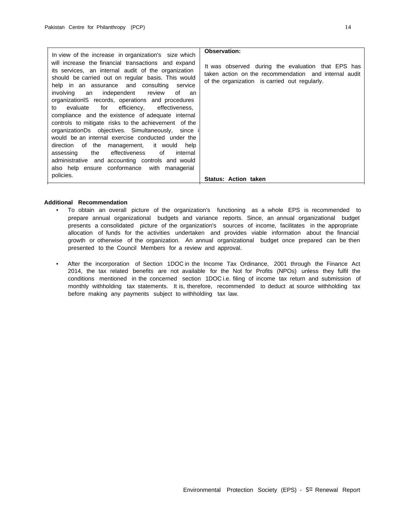|                                                                                                                                                                                                                                                                                                                                                                                                                                                                                                                                                                                                                                                                                                                                                                                                                                                                            | Observation:                                                                                                                                                 |
|----------------------------------------------------------------------------------------------------------------------------------------------------------------------------------------------------------------------------------------------------------------------------------------------------------------------------------------------------------------------------------------------------------------------------------------------------------------------------------------------------------------------------------------------------------------------------------------------------------------------------------------------------------------------------------------------------------------------------------------------------------------------------------------------------------------------------------------------------------------------------|--------------------------------------------------------------------------------------------------------------------------------------------------------------|
| In view of the increase in organization's size which<br>will increase the financial transactions and expand<br>its services, an internal audit of the organization<br>should be carried out on regular basis. This would<br>help in an assurance and consulting<br>service<br>independent review of<br>involving an<br>an<br>organization S records, operations and procedures<br>for efficiency, effectiveness,<br>evaluate<br>to<br>compliance and the existence of adequate internal<br>controls to mitigate risks to the achievement of the<br>organizationDs objectives. Simultaneously, since i<br>would be an internal exercise conducted under the<br>direction of the management, it would help<br>the effectiveness of<br>assessing<br>internal<br>administrative and accounting controls and would<br>also help ensure conformance with managerial<br>policies. | It was observed during the evaluation that EPS has<br>taken action on the recommendation and internal audit<br>of the organization is carried out regularly. |
|                                                                                                                                                                                                                                                                                                                                                                                                                                                                                                                                                                                                                                                                                                                                                                                                                                                                            | <b>Status: Action taken</b>                                                                                                                                  |

### **Additional Recommendation**

- To obtain an overall picture of the organization's functioning as a whole EPS is recommended to prepare annual organizational budgets and variance reports. Since, an annual organizational budget presents a consolidated picture of the organization's sources of income, facilitates in the appropriate allocation of funds for the activities undertaken and provides viable information about the financial growth or otherwise of the organization. An annual organizational budget once prepared can be then presented to the Council Members for a review and approval.
- After the incorporation of Section 1DOC in the Income Tax Ordinance, 2001 through the Finance Act 2014, the tax related benefits are not available for the Not for Profits (NPOs) unless they fulfil the conditions mentioned in the concerned section 1DOC i.e. filing of income tax return and submission of monthly withholding tax statements. It is, therefore, recommended to deduct at source withholding tax before making any payments subject to withholding tax law.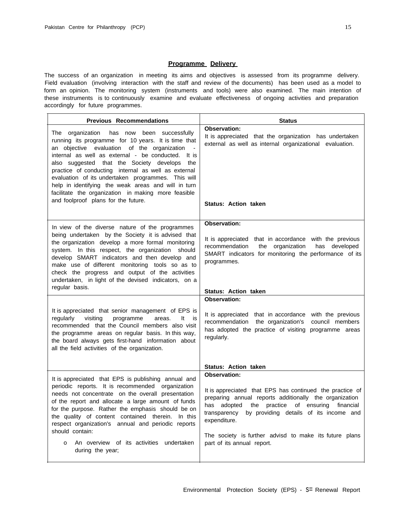## **Programme Delivery**

The success of an organization in meeting its aims and objectives is assessed from its programme delivery. Field evaluation (involving interaction with the staff and review of the documents) has been used as a model to form an opinion. The monitoring system (instruments and tools) were also examined. The main intention of these instruments is to continuously examine and evaluate effectiveness of ongoing activities and preparation accordingly for future programmes.

| <b>Previous Recommendations</b>                                                                                                                                                                                                                                                                                                                                                                                                                                                                                             | <b>Status</b>                                                                                                                                                                                                                                                                                                                                                             |
|-----------------------------------------------------------------------------------------------------------------------------------------------------------------------------------------------------------------------------------------------------------------------------------------------------------------------------------------------------------------------------------------------------------------------------------------------------------------------------------------------------------------------------|---------------------------------------------------------------------------------------------------------------------------------------------------------------------------------------------------------------------------------------------------------------------------------------------------------------------------------------------------------------------------|
| The organization has now been successfully<br>running its programme for 10 years. It is time that<br>an objective evaluation of the organization<br>internal as well as external - be conducted. It is<br>also suggested that the Society develops<br>the<br>practice of conducting internal as well as external<br>evaluation of its undertaken programmes. This will<br>help in identifying the weak areas and will in turn<br>facilitate the organization in making more feasible<br>and foolproof plans for the future. | <b>Observation:</b><br>It is appreciated that the organization has undertaken<br>external as well as internal organizational evaluation.<br><b>Status: Action taken</b>                                                                                                                                                                                                   |
| In view of the diverse nature of the programmes<br>being undertaken by the Society it is advised that<br>the organization develop a more formal monitoring<br>system. In this respect, the organization should<br>develop SMART indicators and then develop and<br>make use of different monitoring tools so as to<br>check the progress and output of the activities<br>undertaken, in light of the devised indicators, on a<br>regular basis.                                                                             | Observation:<br>It is appreciated that in accordance with the previous<br>recommendation<br>the organization<br>has developed<br>SMART indicators for monitoring the performance of its<br>programmes.<br><b>Status: Action taken</b>                                                                                                                                     |
|                                                                                                                                                                                                                                                                                                                                                                                                                                                                                                                             | <b>Observation:</b>                                                                                                                                                                                                                                                                                                                                                       |
| It is appreciated that senior management of EPS is<br>visiting<br>programme<br>regularly<br>areas.<br>It<br>is is<br>recommended that the Council members also visit<br>the programme areas on regular basis. In this way,<br>the board always gets first-hand information about<br>all the field activities of the organization.                                                                                                                                                                                           | It is appreciated that in accordance with the previous<br>council members<br>recommendation the organization's<br>has adopted the practice of visiting programme areas<br>regularly.                                                                                                                                                                                      |
|                                                                                                                                                                                                                                                                                                                                                                                                                                                                                                                             | <b>Status: Action taken</b>                                                                                                                                                                                                                                                                                                                                               |
| It is appreciated that EPS is publishing annual and<br>periodic reports. It is recommended organization<br>needs not concentrate on the overall presentation<br>of the report and allocate a large amount of funds<br>for the purpose. Rather the emphasis should be on<br>the quality of content contained therein. In this<br>respect organization's annual and periodic reports<br>should contain:<br>An overview of its activities<br>undertaken<br>o<br>during the year;                                               | <b>Observation:</b><br>It is appreciated that EPS has continued the practice of<br>preparing annual reports additionally the organization<br>has adopted<br>the<br>practice<br>of ensuring<br>financial<br>transparency<br>by providing details of its income and<br>expenditure.<br>The society is further advisd to make its future plans<br>part of its annual report. |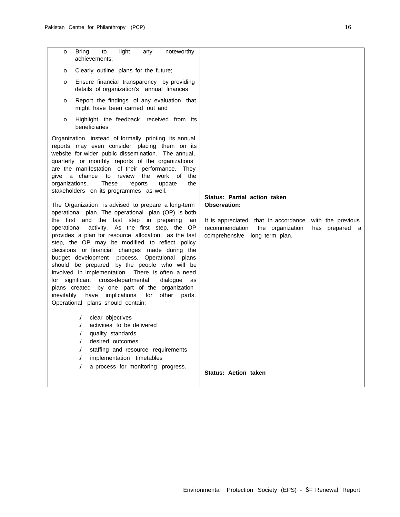| light<br><b>Bring</b><br>to<br>noteworthy<br>any<br>о<br>achievements:                                                                                                                                                                                                                                                                                                                                                                                                                                                                                                                                                                                                                                                                                                        |                                                                                                                                                                              |
|-------------------------------------------------------------------------------------------------------------------------------------------------------------------------------------------------------------------------------------------------------------------------------------------------------------------------------------------------------------------------------------------------------------------------------------------------------------------------------------------------------------------------------------------------------------------------------------------------------------------------------------------------------------------------------------------------------------------------------------------------------------------------------|------------------------------------------------------------------------------------------------------------------------------------------------------------------------------|
| Clearly outline plans for the future;<br>o                                                                                                                                                                                                                                                                                                                                                                                                                                                                                                                                                                                                                                                                                                                                    |                                                                                                                                                                              |
| Ensure financial transparency by providing<br>o<br>details of organization's annual finances                                                                                                                                                                                                                                                                                                                                                                                                                                                                                                                                                                                                                                                                                  |                                                                                                                                                                              |
| Report the findings of any evaluation that<br>0<br>might have been carried out and                                                                                                                                                                                                                                                                                                                                                                                                                                                                                                                                                                                                                                                                                            |                                                                                                                                                                              |
| Highlight the feedback received from its<br>o<br>beneficiaries                                                                                                                                                                                                                                                                                                                                                                                                                                                                                                                                                                                                                                                                                                                |                                                                                                                                                                              |
| Organization instead of formally printing its annual<br>reports may even consider placing them on its<br>website for wider public dissemination. The annual,<br>quarterly or monthly reports of the organizations<br>are the manifestation of their performance. They<br>give a chance<br>review<br>the<br>work of<br>the<br>to<br>organizations.<br>These<br>update<br>the<br>reports<br>stakeholders on its programmes as well.                                                                                                                                                                                                                                                                                                                                             | Status: Partial action taken                                                                                                                                                 |
| The Organization is advised to prepare a long-term<br>operational plan. The operational plan (OP) is both<br>the first and the last step in preparing<br>an<br>operational activity. As the first step, the OP<br>provides a plan for resource allocation; as the last<br>step, the OP may be modified to reflect policy<br>decisions or financial changes made during the<br>budget development process. Operational plans<br>should be prepared by the people who will be<br>involved in implementation. There is often a need<br>cross-departmental<br>for significant<br>dialogue<br>as<br>plans created by one part of the organization<br>have implications<br>inevitably<br>for<br>other<br>parts.<br>Operational plans should contain:<br>clear objectives<br>$\cdot$ | <b>Observation:</b><br>with the previous<br>It is appreciated that in accordance<br>recommendation<br>the organization<br>has prepared<br>a<br>comprehensive long term plan. |
| activities to be delivered<br>$\Lambda$<br>$\Lambda$<br>quality standards<br>$\Lambda$<br>desired outcomes<br>$\cdot$<br>staffing and resource requirements<br>implementation timetables<br>$\cdot$<br>a process for monitoring progress.<br>$\cdot$                                                                                                                                                                                                                                                                                                                                                                                                                                                                                                                          | <b>Status: Action taken</b>                                                                                                                                                  |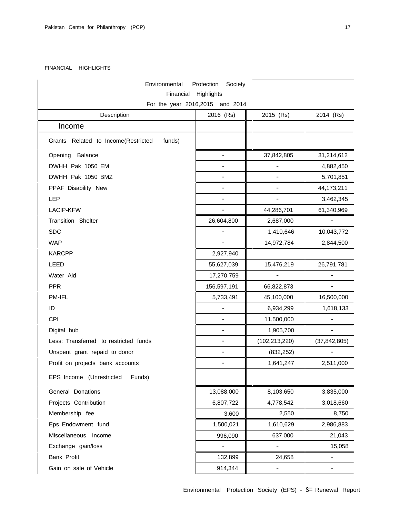### FINANCIAL HIGHLIGHTS

| Environmental<br>Society<br>Protection<br>Highlights<br>Financial |                          |                          |                              |  |  |  |  |
|-------------------------------------------------------------------|--------------------------|--------------------------|------------------------------|--|--|--|--|
| For the year 2016,2015 and 2014                                   |                          |                          |                              |  |  |  |  |
| Description<br>2016 (Rs)<br>2014 (Rs)<br>2015 (Rs)                |                          |                          |                              |  |  |  |  |
| Income                                                            |                          |                          |                              |  |  |  |  |
| Grants Related to Income(Restricted<br>funds)                     |                          |                          |                              |  |  |  |  |
| Opening Balance                                                   | $\overline{\phantom{0}}$ | 37,842,805               | 31,214,612                   |  |  |  |  |
| DWHH Pak 1050 EM                                                  |                          | $\qquad \qquad -$        | 4,882,450                    |  |  |  |  |
| DWHH Pak 1050 BMZ                                                 | $\overline{\phantom{0}}$ | $\overline{\phantom{a}}$ | 5,701,851                    |  |  |  |  |
| PPAF Disability New                                               |                          | $\overline{\phantom{a}}$ | 44,173,211                   |  |  |  |  |
| LEP                                                               |                          |                          | 3,462,345                    |  |  |  |  |
| <b>LACIP-KFW</b>                                                  |                          | 44,286,701               | 61,340,969                   |  |  |  |  |
| <b>Transition Shelter</b>                                         | 26,604,800               | 2,687,000                |                              |  |  |  |  |
| <b>SDC</b>                                                        |                          | 1,410,646                | 10,043,772                   |  |  |  |  |
| <b>WAP</b>                                                        |                          | 14,972,784               | 2,844,500                    |  |  |  |  |
| <b>KARCPP</b>                                                     | 2,927,940                |                          |                              |  |  |  |  |
| LEED                                                              | 55,627,039               | 15,476,219               | 26,791,781                   |  |  |  |  |
| Water Aid                                                         | 17,270,759               | $\overline{\phantom{a}}$ |                              |  |  |  |  |
| <b>PPR</b>                                                        | 156,597,191              | 66,822,873               |                              |  |  |  |  |
| PM-IFL                                                            | 5,733,491                | 45,100,000               | 16,500,000                   |  |  |  |  |
| ID                                                                |                          | 6,934,299                | 1,618,133                    |  |  |  |  |
| CPI                                                               |                          | 11,500,000               |                              |  |  |  |  |
| Digital hub                                                       |                          | 1,905,700                |                              |  |  |  |  |
| Less: Transferred to restricted funds                             |                          | (102, 213, 220)          | (37, 842, 805)               |  |  |  |  |
| Unspent grant repaid to donor                                     |                          | (832, 252)               |                              |  |  |  |  |
| Profit on projects bank accounts                                  |                          | 1,641,247                | 2,511,000                    |  |  |  |  |
| EPS Income (Unrestricted<br>Funds)                                |                          |                          |                              |  |  |  |  |
| General Donations                                                 | 13,088,000               | 8,103,650                | 3,835,000                    |  |  |  |  |
| Projects Contribution                                             | 6,807,722                | 4,778,542                | 3,018,660                    |  |  |  |  |
| Membership fee                                                    | 3,600                    | 2,550                    | 8,750                        |  |  |  |  |
| Eps Endowment fund                                                | 1,500,021                | 1,610,629                | 2,986,883                    |  |  |  |  |
| Miscellaneous Income                                              | 996,090                  | 637,000                  | 21,043                       |  |  |  |  |
| Exchange gain/loss                                                |                          | $\overline{\phantom{a}}$ | 15,058                       |  |  |  |  |
| Bank Profit                                                       | 132,899                  | 24,658                   |                              |  |  |  |  |
| Gain on sale of Vehicle                                           | 914,344                  | $\overline{\phantom{a}}$ | $\qquad \qquad \blacksquare$ |  |  |  |  |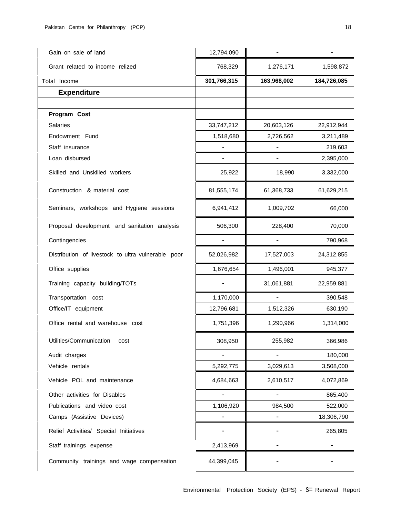| Gain on sale of land                               | 12,794,090         |                          |                          |  |
|----------------------------------------------------|--------------------|--------------------------|--------------------------|--|
| Grant related to income relized                    | 768,329            | 1,276,171                | 1,598,872                |  |
| Total Income                                       | 301,766,315        | 163,968,002              | 184,726,085              |  |
| <b>Expenditure</b>                                 |                    |                          |                          |  |
|                                                    |                    |                          |                          |  |
| Program Cost                                       |                    |                          |                          |  |
| <b>Salaries</b>                                    | 33,747,212         | 20,603,126               | 22,912,944               |  |
| Endowment Fund                                     | 1,518,680          | 2,726,562                | 3,211,489                |  |
| Staff insurance                                    |                    | $\overline{\phantom{a}}$ | 219,603                  |  |
| Loan disbursed                                     |                    | $\overline{\phantom{0}}$ | 2,395,000                |  |
| Skilled and Unskilled workers                      | 25,922             | 18,990                   | 3,332,000                |  |
| Construction & material cost                       | 81,555,174         | 61,368,733               | 61,629,215               |  |
| Seminars, workshops and Hygiene sessions           | 6,941,412          | 1,009,702                | 66,000                   |  |
| Proposal development and sanitation analysis       | 506,300            | 228,400                  | 70,000                   |  |
| Contingencies                                      | $\overline{a}$     | $\overline{\phantom{a}}$ | 790,968                  |  |
| Distribution of livestock to ultra vulnerable poor | 52,026,982         | 17,527,003               | 24,312,855               |  |
| Office supplies                                    | 1,676,654          | 1,496,001                | 945,377                  |  |
| Training capacity building/TOTs                    |                    | 31,061,881               | 22,959,881               |  |
| Transportation cost                                | 1,170,000          | $\overline{\phantom{0}}$ | 390,548                  |  |
| Office/IT equipment                                | 12,796,681         | 1,512,326                | 630,190                  |  |
| Office rental and warehouse cost                   | 1,751,396          | 1,290,966                | 1,314,000                |  |
| Utilities/Communication<br>cost                    | 308,950<br>255,982 |                          | 366,986                  |  |
| Audit charges                                      | $\overline{a}$     | $\overline{a}$           | 180,000                  |  |
| Vehicle rentals                                    | 5,292,775          | 3,029,613<br>3,508,000   |                          |  |
| Vehicle POL and maintenance                        | 4,684,663          | 2,610,517                | 4,072,869                |  |
| Other activities for Disables                      |                    | $\overline{\phantom{a}}$ | 865,400                  |  |
| Publications and video cost                        | 1,106,920          | 984,500                  | 522,000                  |  |
| Camps (Assistive Devices)                          |                    | $\overline{\phantom{0}}$ | 18,306,790               |  |
| Relief Activities/ Special Initiatives             |                    |                          | 265,805                  |  |
| Staff trainings expense                            | 2,413,969          | $\overline{\phantom{0}}$ | $\overline{\phantom{0}}$ |  |
| Community trainings and wage compensation          | 44,399,045         |                          |                          |  |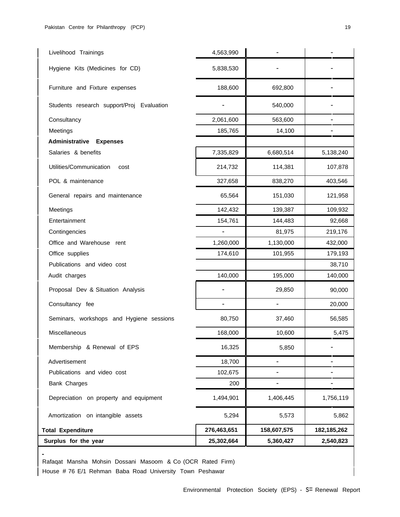| Surplus for the year                                     | 25,302,664     | 5,360,427                | 2,540,823     |
|----------------------------------------------------------|----------------|--------------------------|---------------|
| <b>Total Expenditure</b>                                 | 276,463,651    | 158,607,575              | 182, 185, 262 |
| Amortization on intangible assets                        | 5,294          | 5,573                    | 5,862         |
| Depreciation on property and equipment                   | 1,494,901      | 1,406,445                | 1,756,119     |
| Bank Charges                                             | 200            | -                        |               |
| Publications and video cost                              | 102,675        |                          |               |
| Advertisement                                            | 18,700         | $\overline{\phantom{0}}$ |               |
| Membership & Renewal of EPS                              | 16,325         | 5,850                    |               |
| Miscellaneous                                            | 168,000        | 10,600                   | 5,475         |
| Seminars, workshops and Hygiene sessions                 | 80,750         | 37,460                   | 56,585        |
| Consultancy fee                                          | $\overline{a}$ | $\overline{\phantom{a}}$ | 20,000        |
| Proposal Dev & Situation Analysis                        |                | 29,850                   | 90,000        |
| Audit charges                                            | 140,000        | 195,000                  | 140,000       |
| Publications and video cost                              |                |                          | 38,710        |
| Office supplies                                          | 174,610        | 101,955                  | 179,193       |
| Office and Warehouse rent                                | 1,260,000      | 1,130,000                | 432,000       |
| Contingencies                                            |                | 81,975                   | 219,176       |
| Entertainment                                            | 154,761        | 144,483                  | 92,668        |
| Meetings                                                 | 142,432        | 139,387                  | 109,932       |
| General repairs and maintenance                          | 65,564         | 151,030                  | 121,958       |
| POL & maintenance                                        | 327,658        | 838,270                  | 403,546       |
| Utilities/Communication<br>cost                          | 214,732        | 114,381                  | 107,878       |
| Salaries & benefits                                      | 7,335,829      | 6,680,514                | 5,138,240     |
| Administrative<br><b>Expenses</b>                        |                |                          |               |
| Meetings                                                 | 185,765        | 14,100                   |               |
| Students research support/Proj Evaluation<br>Consultancy | 2,061,600      | 540,000<br>563,600       |               |
|                                                          |                |                          |               |
| Furniture and Fixture expenses                           | 188,600        | 692,800                  |               |
| Hygiene Kits (Medicines for CD)                          | 5,838,530      |                          |               |
| Livelihood Trainings                                     | 4,563,990      |                          |               |

Rafaqat Mansha Mohsin Dossani Masoom & Co (OCR Rated Firm) House # 76 E/1 Rehman Baba Road University Town Peshawar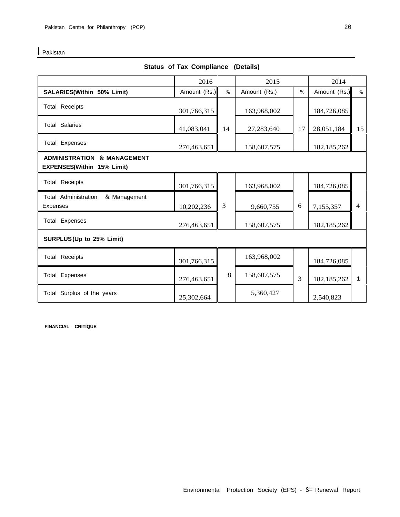**I** Pakistan

| <b>Status of Tax Compliance (Details)</b>                                   |              |                |              |               |               |                |  |
|-----------------------------------------------------------------------------|--------------|----------------|--------------|---------------|---------------|----------------|--|
|                                                                             | 2016         |                | 2015         |               | 2014          |                |  |
| SALARIES(Within 50% Limit)                                                  | Amount (Rs.) | $\%$           | Amount (Rs.) | $\%$          | Amount (Rs.)  | $\%$           |  |
| <b>Total Receipts</b>                                                       | 301,766,315  |                | 163,968,002  |               | 184,726,085   |                |  |
| <b>Total Salaries</b>                                                       | 41,083,041   | 14             | 27,283,640   | 17            | 28,051,184    | 15             |  |
| <b>Total Expenses</b>                                                       | 276,463,651  |                | 158,607,575  |               | 182, 185, 262 |                |  |
| <b>ADMINISTRATION &amp; MANAGEMENT</b><br><b>EXPENSES(Within 15% Limit)</b> |              |                |              |               |               |                |  |
| <b>Total Receipts</b>                                                       | 301,766,315  |                | 163,968,002  |               | 184,726,085   |                |  |
| <b>Total Administration</b><br>& Management<br><b>Expenses</b>              | 10,202,236   | $\mathfrak{Z}$ | 9,660,755    | 6             | 7,155,357     | $\overline{4}$ |  |
| <b>Total Expenses</b>                                                       | 276,463,651  |                | 158,607,575  | 182, 185, 262 |               |                |  |
| SURPLUS (Up to 25% Limit)                                                   |              |                |              |               |               |                |  |
| <b>Total Receipts</b>                                                       | 301,766,315  |                | 163,968,002  |               | 184,726,085   |                |  |
| <b>Total Expenses</b>                                                       | 276,463,651  | 8              | 158,607,575  | 3             | 182, 185, 262 | 1              |  |
| Total Surplus of the years                                                  | 25,302,664   | 5,360,427      |              | 2,540,823     |               |                |  |

**FINANCIAL CRITIQUE**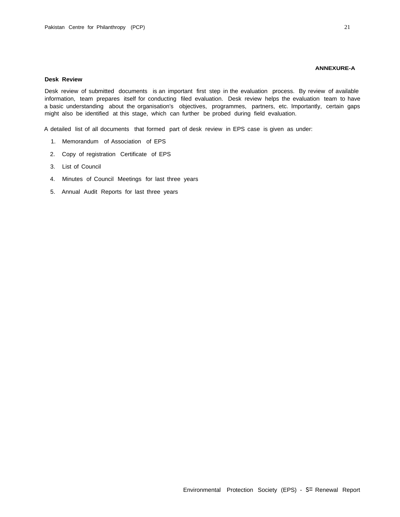#### **ANNEXURE-A**

#### **Desk Review**

Desk review of submitted documents is an important first step in the evaluation process. By review of available information, team prepares itself for conducting filed evaluation. Desk review helps the evaluation team to have a basic understanding about the organisation's objectives, programmes, partners, etc. Importantly, certain gaps might also be identified at this stage, which can further be probed during field evaluation.

A detailed list of all documents that formed part of desk review in EPS case is given as under:

- 1. Memorandum of Association of EPS
- 2. Copy of registration Certificate of EPS
- 3. List of Council
- 4. Minutes of Council Meetings for last three years
- 5. Annual Audit Reports for last three years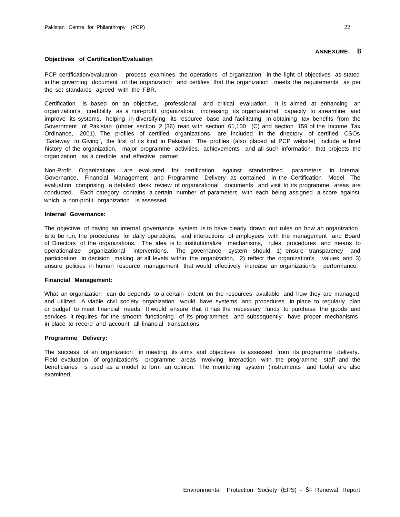#### **ANNEXURE- B**

#### **Objectives of Certification/Evaluation**

PCP certification/evaluation process examines the operations of organization in the light of objectives as stated in the governing document of the organization and certifies that the organization meets the requirements as per the set standards agreed with the FBR.

Certification is based on an objective, professional and critical evaluation. It is aimed at enhancing an organization's credibility as a non-profit organization, increasing its organizational capacity to streamline and improve its systems, helping in diversifying its resource base and facilitating in obtaining tax benefits from the Government of Pakistan (under section 2 (36) read with section 61,100 (C) and section 159 of the Income Tax Ordinance, 2001). The profiles of certified organizations are included in the directory of certified CSOs "Gateway to Giving", the first of its kind in Pakistan. The profiles (also placed at PCP website) include a brief history of the organization, major programme activities, achievements and all such information that projects the organization as a credible and effective partner.

Non-Profit Organizations are evaluated for certification against standardized parameters in Internal Governance, Financial Management and Programme Delivery as contained in the Certification Model. The evaluation comprising a detailed desk review of organizational documents and visit to its programme areas are conducted. Each category contains a certain number of parameters with each being assigned a score against which a non-profit organization is assessed.

#### **Internal Governance:**

The objective of having an internal governance system is to have clearly drawn out rules on how an organization is to be run, the procedures for daily operations, and interactions of employees with the management and Board of Directors of the organizations. The idea is to institutionalize mechanisms, rules, procedures and means to operationalize organizational interventions. The governance system should 1) ensure transparency and participation in decision making at all levels within the organization, 2) reflect the organization's values and 3) ensure policies in human resource management that would effectively increase an organization's performance.

## **Financial Management:**

What an organization can do depends to a certain extent on the resources available and how they are managed and utilized. A viable civil society organization would have systems and procedures in place to regularly plan or budget to meet financial needs. It would ensure that it has the necessary funds to purchase the goods and services it requires for the smooth functioning of its programmes and subsequently have proper mechanisms in place to record and account all financial transactions.

#### **Programme Delivery:**

The success of an organization in meeting its aims and objectives is assessed from its programme delivery. Field evaluation of organization's programme areas involving interaction with the programme staff and the beneficiaries is used as a model to form an opinion. The monitoring system (instruments and tools) are also examined.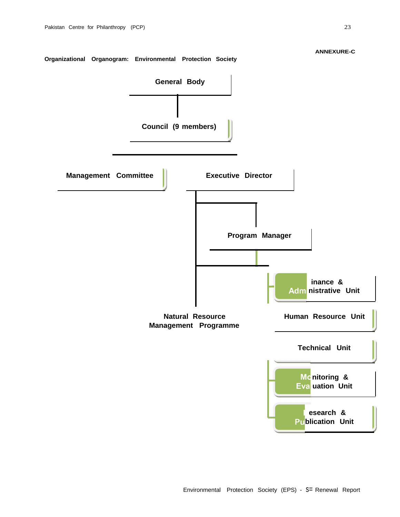**ANNEXURE-C**

## **Organizational Organogram: Environmental Protection Society**

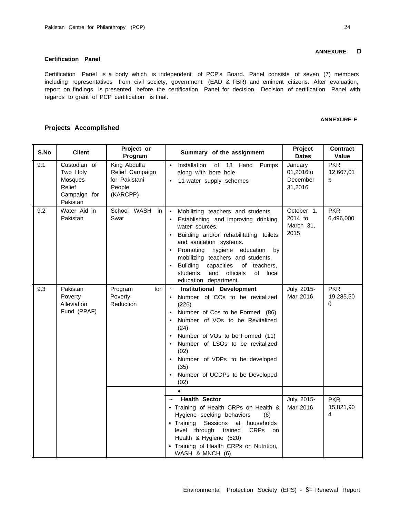#### **Certification Panel**

**Projects Accomplished**

Certification Panel is a body which is independent of PCP's Board. Panel consists of seven (7) members including representatives from civil society, government (EAD & FBR) and eminent citizens. After evaluation, report on findings is presented before the certification Panel for decision. Decision of certification Panel with regards to grant of PCP certification is final.

#### **ANNEXURE-E**

#### **S.No Client Project or Summary** of the assignment **Project Dates Contract Value** 9.1 Custodian of Two Holy Mosques Relief Campaign for Pakistan King Abdulla Relief Campaign for Pakistani People (KARCPP) • Installation of 13 Hand Pumps along with bore hole 11 water supply schemes January 01,2016to December 31,2016 PKR 12,667,01 5 9.2 Water Aid in Pakistan School WASH in Swat • Mobilizing teachers and students. Establishing and improving drinking water sources. • Building and/or rehabilitating toilets and sanitation systems. • Promoting hygiene education by mobilizing teachers and students. • Building capacities of teachers, students and officials of local education department. October 1, 2014 to March 31, 2015 PKR 6,496,000 9.3 Pakistan Poverty Alleviation Fund (PPAF) Program Poverty Reduction for  $\vert \sim$  **Institutional Development** • Number of COs to be revitalized (226) • Number of Cos to be Formed (86) • Number of VOs to be Revitalized (24) • Number of VOs to be Formed (11) • Number of LSOs to be revitalized (02) • Number of VDPs to be developed (35) • Number of UCDPs to be Developed (02) July 2015- Mar 2016 PKR 19,285,50 o • **~ Health Sector** July 2015- • Training of Health CRPs on Health  $\&$  Mar 2016 Hygiene seeking behaviors (6) • Training Sessions at households level through trained CRPs on Health & Hygiene (620) • Training of Health CRPs on Nutrition, WASH & MNCH (6) **PKR** 15,821,90 4

## **ANNEXURE- D**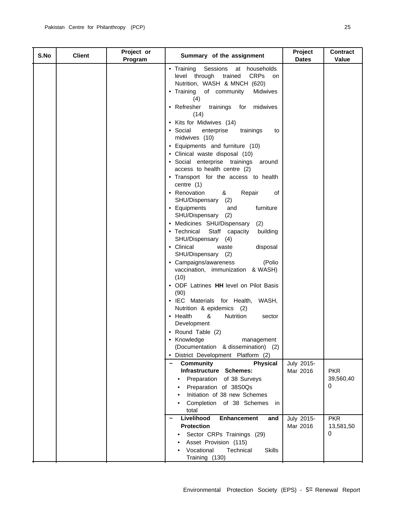| S.No | <b>Client</b> | Project or<br>Program | Summary of the assignment                                                                                                                                                                                                                                                                                                                                                                                                                                                                                                                                                                                                                                                                                                                                                                                                                                                                                                                                                                                                                                                                                                                                                                                           | Project<br><b>Dates</b> | <b>Contract</b><br>Value            |
|------|---------------|-----------------------|---------------------------------------------------------------------------------------------------------------------------------------------------------------------------------------------------------------------------------------------------------------------------------------------------------------------------------------------------------------------------------------------------------------------------------------------------------------------------------------------------------------------------------------------------------------------------------------------------------------------------------------------------------------------------------------------------------------------------------------------------------------------------------------------------------------------------------------------------------------------------------------------------------------------------------------------------------------------------------------------------------------------------------------------------------------------------------------------------------------------------------------------------------------------------------------------------------------------|-------------------------|-------------------------------------|
|      |               |                       | • Training<br>Sessions<br>at households<br>level through trained<br><b>CRPs</b><br>on<br>Nutrition, WASH & MNCH (620)<br>• Training of community<br><b>Midwives</b><br>(4)<br>• Refresher<br>trainings for<br>midwives<br>(14)<br>• Kits for Midwives (14)<br>• Social<br>enterprise<br>trainings<br>to<br>midwives (10)<br>• Equipments and furniture (10)<br>· Clinical waste disposal (10)<br>· Social enterprise trainings<br>around<br>access to health centre (2)<br>• Transport for the access to health<br>centre $(1)$<br>Repair<br>• Renovation<br>&<br>of<br>SHU/Dispensary (2)<br>furniture<br>• Equipments<br>and<br>SHU/Dispensary (2)<br>• Medicines SHU/Dispensary<br>(2)<br>Staff capacity<br>• Technical<br>building<br>SHU/Dispensary (4)<br>• Clinical<br>disposal<br>waste<br>SHU/Dispensary (2)<br>• Campaigns/awareness<br>(Polio<br>vaccination, immunization & WASH)<br>(10)<br>• ODF Latrines HH level on Pilot Basis<br>(90)<br>• IEC Materials for Health, WASH,<br>Nutrition & epidemics (2)<br>• Health<br>&<br>Nutrition<br>sector<br>Development<br>• Round Table (2)<br>• Knowledge<br>management<br>(Documentation<br>& dissemination) (2)<br>· District Development Platform (2) |                         |                                     |
|      |               |                       | <b>Community</b><br>Physical<br>Infrastructure Schemes:<br>of 38 Surveys<br>Preparation<br>Preparation of 38S0Qs<br>Initiation of 38 new Schemes<br>$\bullet$<br>Completion of 38 Schemes<br>in<br>total                                                                                                                                                                                                                                                                                                                                                                                                                                                                                                                                                                                                                                                                                                                                                                                                                                                                                                                                                                                                            | July 2015-<br>Mar 2016  | <b>PKR</b><br>39,560,40<br>$\theta$ |
|      |               |                       | Livelihood<br><b>Enhancement</b><br>and<br>$\tilde{\phantom{a}}$<br><b>Protection</b><br>Sector CRPs Trainings (29)<br>Asset Provision (115)<br>Vocational<br>Technical<br><b>Skills</b><br>Training (130)                                                                                                                                                                                                                                                                                                                                                                                                                                                                                                                                                                                                                                                                                                                                                                                                                                                                                                                                                                                                          | July 2015-<br>Mar 2016  | <b>PKR</b><br>13,581,50<br>0        |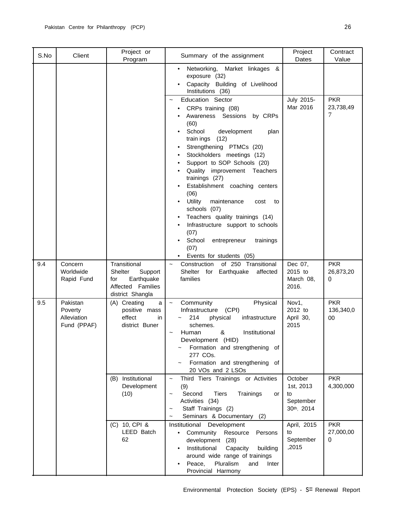| S.No | Client                                            | Project or<br>Program                                                                            | Summary of the assignment                                                                                                                                                                                                                                                                                                                                                                                                                                                                                                                            | Project<br>Dates                                      | Contract<br>Value             |
|------|---------------------------------------------------|--------------------------------------------------------------------------------------------------|------------------------------------------------------------------------------------------------------------------------------------------------------------------------------------------------------------------------------------------------------------------------------------------------------------------------------------------------------------------------------------------------------------------------------------------------------------------------------------------------------------------------------------------------------|-------------------------------------------------------|-------------------------------|
|      |                                                   |                                                                                                  | Networking,<br>Market linkages &<br>٠<br>exposure (32)<br>Capacity Building of Livelihood<br>Institutions (36)                                                                                                                                                                                                                                                                                                                                                                                                                                       |                                                       |                               |
|      |                                                   |                                                                                                  | <b>Education Sector</b><br>CRPs training (08)<br>Awareness Sessions by CRPs<br>(60)<br>School<br>development<br>plan<br>(12)<br>train ings<br>Strengthening PTMCs (20)<br>Stockholders meetings (12)<br>Support to SOP Schools (20)<br>Quality improvement Teachers<br>trainings (27)<br>Establishment coaching centers<br>(06)<br>Utility<br>maintenance<br>cost<br>to<br>schools (07)<br>Teachers quality trainings (14)<br>Infrastructure support to schools<br>(07)<br>School<br>entrepreneur<br>trainings<br>(07)<br>• Events for students (05) | July 2015-<br>Mar 2016                                | <b>PKR</b><br>23,738,49<br>7  |
| 9.4  | Concern<br>Worldwide<br>Rapid Fund                | Transitional<br>Shelter<br>Support<br>Earthquake<br>for<br>Affected Families<br>district Shangla | of 250 Transitional<br>Construction<br>Shelter for Earthquake<br>affected<br>families                                                                                                                                                                                                                                                                                                                                                                                                                                                                | Dec 07,<br>2015 to<br>March 08,<br>2016.              | <b>PKR</b><br>26,873,20<br>0  |
| 9.5  | Pakistan<br>Poverty<br>Alleviation<br>Fund (PPAF) | (A) Creating<br>a<br>positive mass<br>effect<br>in<br>district Buner                             | Community<br>Physical<br>$\tilde{}$<br>Infrastructure (CPI)<br>214<br>physical<br>infrastructure<br>schemes.<br>&<br>Human<br>Institutional<br>Development (HID)<br>Formation and strengthening of<br>277 COs.<br>Formation and strengthening of<br>20 VOs and 2 LSOs                                                                                                                                                                                                                                                                                | Nov1,<br>2012 to<br>April 30,<br>2015                 | <b>PKR</b><br>136,340,0<br>00 |
|      |                                                   | (B) Institutional<br>Development<br>(10)                                                         | Third Tiers Trainings or Activities<br>$\tilde{}$<br>(9)<br>Second<br><b>Tiers</b><br>Trainings<br>or<br>$\tilde{}$<br>Activities (34)<br>Staff Trainings (2)<br>Seminars & Documentary (2)                                                                                                                                                                                                                                                                                                                                                          | October<br>1st, 2013<br>to<br>September<br>30th, 2014 | <b>PKR</b><br>4,300,000       |
|      |                                                   | (C) 10, CPI &<br>LEED Batch<br>62                                                                | Institutional Development<br>Community<br>Resource<br>Persons<br>$\bullet$<br>development (28)<br>Institutional<br>Capacity<br>building<br>around wide range of trainings<br>Pluralism<br>Peace,<br>and<br>Inter<br>Provincial Harmony                                                                                                                                                                                                                                                                                                               | April, 2015<br>to<br>September<br>,2015               | <b>PKR</b><br>27,000,00<br>0  |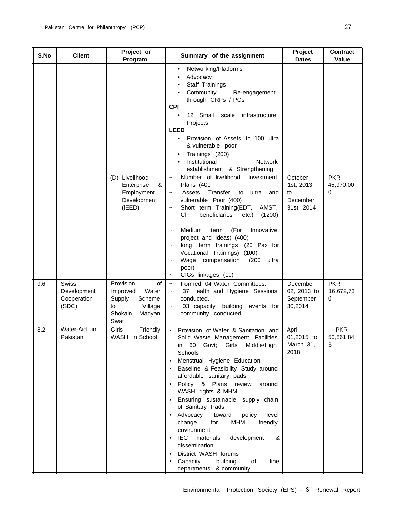| S.No | <b>Client</b>                                       | Project or<br>Program                                                                                   | Summary of the assignment                                                                                                                                                                                                                                                                                                                                                                                                                                                                                                                                                                                                    | Project<br><b>Dates</b>                              | <b>Contract</b><br>Value            |
|------|-----------------------------------------------------|---------------------------------------------------------------------------------------------------------|------------------------------------------------------------------------------------------------------------------------------------------------------------------------------------------------------------------------------------------------------------------------------------------------------------------------------------------------------------------------------------------------------------------------------------------------------------------------------------------------------------------------------------------------------------------------------------------------------------------------------|------------------------------------------------------|-------------------------------------|
|      |                                                     |                                                                                                         | Networking/Platforms<br>$\bullet$<br>Advocacy<br>Staff Trainings<br>Community<br>Re-engagement<br>through CRPs / POs<br><b>CPI</b><br>12 Small<br>scale infrastructure<br>$\bullet$<br>Projects<br><b>LEED</b><br>Provision of Assets to 100 ultra<br>$\bullet$<br>& vulnerable poor<br>Trainings (200)<br>Institutional<br><b>Network</b><br>establishment & Strengthening                                                                                                                                                                                                                                                  |                                                      |                                     |
|      |                                                     | (D) Livelihood<br>&<br>Enterprise<br>Employment<br>Development<br>(IEED)                                | Number of livelihood<br>Investment<br>$\tilde{}$<br>Plans (400<br>Assets<br>Transfer<br>ultra<br>to<br>and<br>$\tilde{\phantom{a}}$<br>vulnerable Poor (400)<br>Short term Training(EDT,<br>AMST,<br><b>CIF</b><br>beneficiaries<br>etc.)<br>(1200)<br>Medium<br>(For<br>Innovative<br>term<br>project and Ideas) (400)<br>long term trainings (20 Pax for<br>Vocational Trainings) (100)<br>Wage compensation<br>(200)<br>ultra<br>poor)                                                                                                                                                                                    | October<br>1st, 2013<br>to<br>December<br>31st, 2014 | <b>PKR</b><br>45,970,00<br>$\Omega$ |
| 9.6  | <b>Swiss</b><br>Development<br>Cooperation<br>(SDC) | Provision<br>of<br>Water<br>Improved<br>Supply<br>Scheme<br>Village<br>to<br>Shokain,<br>Madyan<br>Swat | CIGs linkages (10)<br>$\tilde{}$<br>Formed 04 Water Committees.<br>$\widetilde{\phantom{m}}$<br>37 Health and Hygiene Sessions<br>$\tilde{}$<br>conducted.<br>building events for<br>03 capacity<br>$\tilde{}$<br>community conducted.                                                                                                                                                                                                                                                                                                                                                                                       | December<br>02, 2013 to<br>September<br>30,2014      | <b>PKR</b><br>16,672,73<br>$\Omega$ |
| 8.2  | Water-Aid in<br>Pakistan                            | Girls<br>Friendly<br>WASH in School                                                                     | Provision of Water & Sanitation and<br>Solid Waste Management Facilities<br>Middle/High<br>Girls<br>in 60<br>Govt;<br>Schools<br>Menstrual Hygiene Education<br>Baseline & Feasibility Study around<br>affordable sanitary pads<br>Policy & Plans review<br>around<br>$\bullet$<br>WASH rights & MHM<br>Ensuring sustainable<br>supply chain<br>of Sanitary Pads<br>Advocacy<br>toward<br>policy<br>level<br>change<br><b>MHM</b><br>friendly<br>for<br>environment<br><b>IEC</b><br>materials<br>development<br>&<br>dissemination<br>District WASH forums<br>Capacity<br>building<br>of<br>line<br>departments & community | April<br>01,2015 to<br>March 31,<br>2018             | <b>PKR</b><br>50,861,84<br>3        |